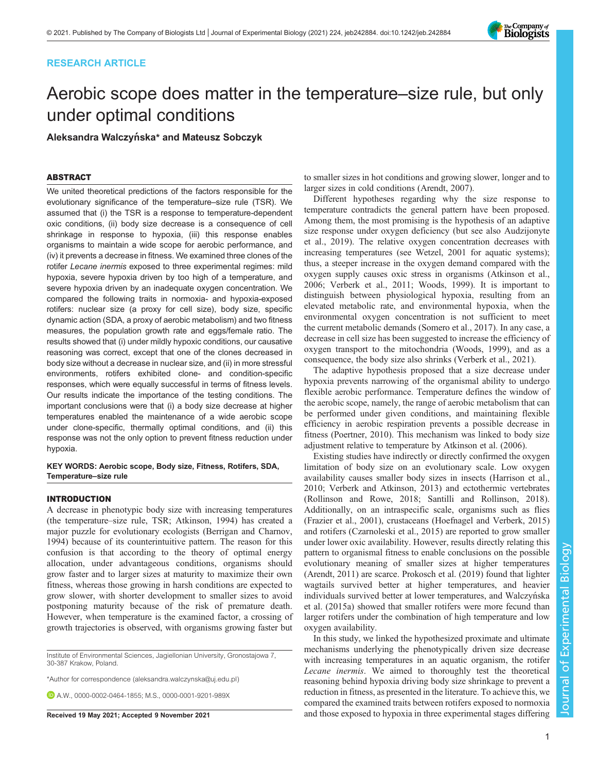# RESEARCH ARTICLE

# Aerobic scope does matter in the temperature–size rule, but only under optimal conditions

Aleksandra Walczyńska\* and Mateusz Sobczyk

# ABSTRACT

We united theoretical predictions of the factors responsible for the evolutionary significance of the temperature–size rule (TSR). We assumed that (i) the TSR is a response to temperature-dependent oxic conditions, (ii) body size decrease is a consequence of cell shrinkage in response to hypoxia, (iii) this response enables organisms to maintain a wide scope for aerobic performance, and (iv) it prevents a decrease in fitness. We examined three clones of the rotifer Lecane inermis exposed to three experimental regimes: mild hypoxia, severe hypoxia driven by too high of a temperature, and severe hypoxia driven by an inadequate oxygen concentration. We compared the following traits in normoxia- and hypoxia-exposed rotifers: nuclear size (a proxy for cell size), body size, specific dynamic action (SDA, a proxy of aerobic metabolism) and two fitness measures, the population growth rate and eggs/female ratio. The results showed that (i) under mildly hypoxic conditions, our causative reasoning was correct, except that one of the clones decreased in body size without a decrease in nuclear size, and (ii) in more stressful environments, rotifers exhibited clone- and condition-specific responses, which were equally successful in terms of fitness levels. Our results indicate the importance of the testing conditions. The important conclusions were that (i) a body size decrease at higher temperatures enabled the maintenance of a wide aerobic scope under clone-specific, thermally optimal conditions, and (ii) this response was not the only option to prevent fitness reduction under hypoxia.

KEY WORDS: Aerobic scope, Body size, Fitness, Rotifers, SDA, Temperature–size rule

# INTRODUCTION

A decrease in phenotypic body size with increasing temperatures (the temperature–size rule, TSR; [Atkinson, 1994\)](#page-10-0) has created a major puzzle for evolutionary ecologists [\(Berrigan and Charnov,](#page-11-0) [1994](#page-11-0)) because of its counterintuitive pattern. The reason for this confusion is that according to the theory of optimal energy allocation, under advantageous conditions, organisms should grow faster and to larger sizes at maturity to maximize their own fitness, whereas those growing in harsh conditions are expected to grow slower, with shorter development to smaller sizes to avoid postponing maturity because of the risk of premature death. However, when temperature is the examined factor, a crossing of growth trajectories is observed, with organisms growing faster but

Institute of Environmental Sciences, Jagiellonian University, Gronostajowa 7, 30-387 Krakow, Poland.

\*Author for correspondence [\(aleksandra.walczynska@uj.edu.pl](mailto:aleksandra.walczynska@uj.edu.pl))

A.W., [0000-0002-0464-1855](http://orcid.org/0000-0002-0464-1855); M.S., [0000-0001-9201-989X](http://orcid.org/0000-0001-9201-989X)

to smaller sizes in hot conditions and growing slower, longer and to larger sizes in cold conditions [\(Arendt, 2007](#page-10-0)).

Different hypotheses regarding why the size response to temperature contradicts the general pattern have been proposed. Among them, the most promising is the hypothesis of an adaptive size response under oxygen deficiency (but see also [Audzijonyte](#page-11-0) [et al., 2019](#page-11-0)). The relative oxygen concentration decreases with increasing temperatures (see [Wetzel, 2001](#page-12-0) for aquatic systems); thus, a steeper increase in the oxygen demand compared with the oxygen supply causes oxic stress in organisms [\(Atkinson et al.,](#page-10-0) [2006;](#page-10-0) [Verberk et al., 2011; Woods, 1999](#page-12-0)). It is important to distinguish between physiological hypoxia, resulting from an elevated metabolic rate, and environmental hypoxia, when the environmental oxygen concentration is not sufficient to meet the current metabolic demands [\(Somero et al., 2017](#page-11-0)). In any case, a decrease in cell size has been suggested to increase the efficiency of oxygen transport to the mitochondria [\(Woods, 1999\)](#page-12-0), and as a consequence, the body size also shrinks ([Verberk et al., 2021\)](#page-12-0).

The adaptive hypothesis proposed that a size decrease under hypoxia prevents narrowing of the organismal ability to undergo flexible aerobic performance. Temperature defines the window of the aerobic scope, namely, the range of aerobic metabolism that can be performed under given conditions, and maintaining flexible efficiency in aerobic respiration prevents a possible decrease in fitness ([Poertner, 2010\)](#page-11-0). This mechanism was linked to body size adjustment relative to temperature by [Atkinson et al. \(2006\).](#page-10-0)

Existing studies have indirectly or directly confirmed the oxygen limitation of body size on an evolutionary scale. Low oxygen availability causes smaller body sizes in insects [\(Harrison et al.,](#page-11-0) [2010;](#page-11-0) [Verberk and Atkinson, 2013](#page-12-0)) and ectothermic vertebrates [\(Rollinson and Rowe, 2018](#page-11-0); [Santilli and Rollinson, 2018\)](#page-11-0). Additionally, on an intraspecific scale, organisms such as flies [\(Frazier et al., 2001](#page-11-0)), crustaceans [\(Hoefnagel and Verberk, 2015\)](#page-11-0) and rotifers ([Czarnoleski et al., 2015](#page-11-0)) are reported to grow smaller under lower oxic availability. However, results directly relating this pattern to organismal fitness to enable conclusions on the possible evolutionary meaning of smaller sizes at higher temperatures [\(Arendt, 2011\)](#page-10-0) are scarce. [Prokosch et al. \(2019\)](#page-11-0) found that lighter wagtails survived better at higher temperatures, and heavier individuals survived better at lower temperatures, and Walczyńska [et al. \(2015a\)](#page-12-0) showed that smaller rotifers were more fecund than larger rotifers under the combination of high temperature and low oxygen availability.

In this study, we linked the hypothesized proximate and ultimate mechanisms underlying the phenotypically driven size decrease with increasing temperatures in an aquatic organism, the rotifer Lecane inermis. We aimed to thoroughly test the theoretical reasoning behind hypoxia driving body size shrinkage to prevent a reduction in fitness, as presented in the literature. To achieve this, we compared the examined traits between rotifers exposed to normoxia Received 19 May 2021; Accepted 9 November 2021 and those exposed to hypoxia in three experimental stages differing

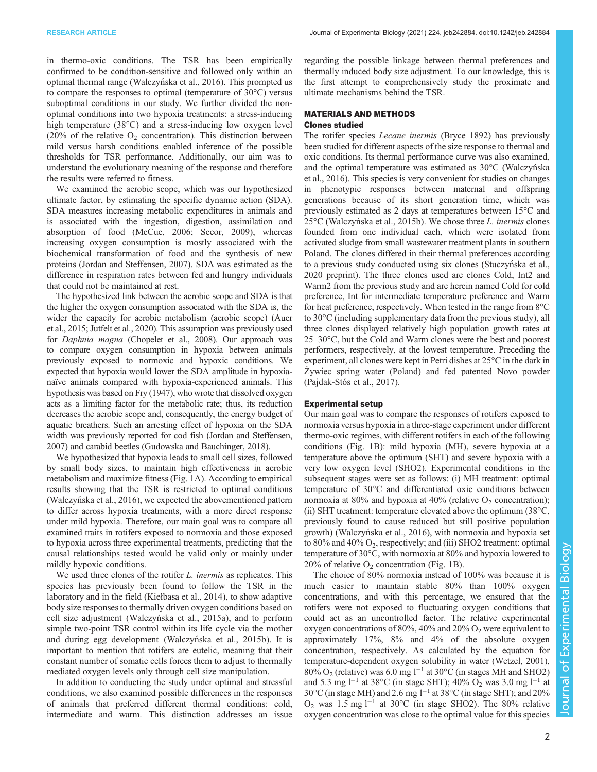in thermo-oxic conditions. The TSR has been empirically confirmed to be condition-sensitive and followed only within an optimal thermal range (Walczyń[ska et al., 2016](#page-12-0)). This prompted us to compare the responses to optimal (temperature of 30°C) versus suboptimal conditions in our study. We further divided the nonoptimal conditions into two hypoxia treatments: a stress-inducing high temperature (38<sup>o</sup>C) and a stress-inducing low oxygen level (20% of the relative  $O_2$  concentration). This distinction between mild versus harsh conditions enabled inference of the possible thresholds for TSR performance. Additionally, our aim was to understand the evolutionary meaning of the response and therefore the results were referred to fitness.

We examined the aerobic scope, which was our hypothesized ultimate factor, by estimating the specific dynamic action (SDA). SDA measures increasing metabolic expenditures in animals and is associated with the ingestion, digestion, assimilation and absorption of food ([McCue, 2006; Secor, 2009](#page-11-0)), whereas increasing oxygen consumption is mostly associated with the biochemical transformation of food and the synthesis of new proteins [\(Jordan and Steffensen, 2007\)](#page-11-0). SDA was estimated as the difference in respiration rates between fed and hungry individuals that could not be maintained at rest.

The hypothesized link between the aerobic scope and SDA is that the higher the oxygen consumption associated with the SDA is, the wider the capacity for aerobic metabolism (aerobic scope) ([Auer](#page-11-0) [et al., 2015](#page-11-0); [Jutfelt et al., 2020](#page-11-0)). This assumption was previously used for Daphnia magna [\(Chopelet et al., 2008](#page-11-0)). Our approach was to compare oxygen consumption in hypoxia between animals previously exposed to normoxic and hypoxic conditions. We expected that hypoxia would lower the SDA amplitude in hypoxianaïve animals compared with hypoxia-experienced animals. This hypothesis was based on [Fry \(1947\)](#page-11-0), who wrote that dissolved oxygen acts as a limiting factor for the metabolic rate; thus, its reduction decreases the aerobic scope and, consequently, the energy budget of aquatic breathers. Such an arresting effect of hypoxia on the SDA width was previously reported for cod fish ([Jordan and Steffensen,](#page-11-0) [2007\)](#page-11-0) and carabid beetles [\(Gudowska and Bauchinger, 2018](#page-11-0)).

We hypothesized that hypoxia leads to small cell sizes, followed by small body sizes, to maintain high effectiveness in aerobic metabolism and maximize fitness ([Fig. 1](#page-2-0)A). According to empirical results showing that the TSR is restricted to optimal conditions (Walczyń[ska et al., 2016](#page-12-0)), we expected the abovementioned pattern to differ across hypoxia treatments, with a more direct response under mild hypoxia. Therefore, our main goal was to compare all examined traits in rotifers exposed to normoxia and those exposed to hypoxia across three experimental treatments, predicting that the causal relationships tested would be valid only or mainly under mildly hypoxic conditions.

We used three clones of the rotifer *L. inermis* as replicates. This species has previously been found to follow the TSR in the laboratory and in the field (Kieł[basa et al., 2014\)](#page-11-0), to show adaptive body size responses to thermally driven oxygen conditions based on cell size adjustment (Walczyń[ska et al., 2015a](#page-12-0)), and to perform simple two-point TSR control within its life cycle via the mother and during egg development (Walczyń[ska et al., 2015b](#page-12-0)). It is important to mention that rotifers are eutelic, meaning that their constant number of somatic cells forces them to adjust to thermally mediated oxygen levels only through cell size manipulation.

In addition to conducting the study under optimal and stressful conditions, we also examined possible differences in the responses of animals that preferred different thermal conditions: cold, intermediate and warm. This distinction addresses an issue

regarding the possible linkage between thermal preferences and thermally induced body size adjustment. To our knowledge, this is the first attempt to comprehensively study the proximate and ultimate mechanisms behind the TSR.

## MATERIALS AND METHODS Clones studied

The rotifer species Lecane inermis (Bryce 1892) has previously been studied for different aspects of the size response to thermal and oxic conditions. Its thermal performance curve was also examined, and the optimal temperature was estimated as 30°C (Walczyńska [et al., 2016\)](#page-12-0). This species is very convenient for studies on changes in phenotypic responses between maternal and offspring generations because of its short generation time, which was previously estimated as 2 days at temperatures between 15°C and 25<sup>°</sup>C (Walczyń[ska et al., 2015b\)](#page-12-0). We chose three *L. inermis* clones founded from one individual each which were isolated from founded from one individual each, which were isolated from activated sludge from small wastewater treatment plants in southern Poland. The clones differed in their thermal preferences according to a previous study conducted using six clones (Stuczyń[ska et al.,](#page-11-0) [2020](#page-11-0) preprint). The three clones used are clones Cold, Int2 and Warm2 from the previous study and are herein named Cold for cold preference, Int for intermediate temperature preference and Warm for heat preference, respectively. When tested in the range from 8°C to 30°C (including supplementary data from the previous study), all three clones displayed relatively high population growth rates at 25–30°C, but the Cold and Warm clones were the best and poorest performers, respectively, at the lowest temperature. Preceding the experiment, all clones were kept in Petri dishes at 25°C in the dark in Żywiec spring water (Poland) and fed patented Novo powder [\(Pajdak-Stós et al., 2017](#page-11-0)).

## Experimental setup

Our main goal was to compare the responses of rotifers exposed to normoxia versus hypoxia in a three-stage experiment under different thermo-oxic regimes, with different rotifers in each of the following conditions [\(Fig. 1](#page-2-0)B): mild hypoxia (MH), severe hypoxia at a temperature above the optimum (SHT) and severe hypoxia with a very low oxygen level (SHO2). Experimental conditions in the subsequent stages were set as follows: (i) MH treatment: optimal temperature of 30°C and differentiated oxic conditions between normoxia at 80% and hypoxia at 40% (relative  $O_2$  concentration); (ii) SHT treatment: temperature elevated above the optimum (38°C, previously found to cause reduced but still positive population growth) (Walczyń[ska et al., 2016\)](#page-12-0), with normoxia and hypoxia set to 80% and 40%  $O_2$ , respectively; and (iii) SHO2 treatment: optimal temperature of 30°C, with normoxia at 80% and hypoxia lowered to 20% of relative  $O_2$  concentration [\(Fig. 1B](#page-2-0)).

The choice of 80% normoxia instead of 100% was because it is much easier to maintain stable 80% than 100% oxygen concentrations, and with this percentage, we ensured that the rotifers were not exposed to fluctuating oxygen conditions that could act as an uncontrolled factor. The relative experimental oxygen concentrations of 80%, 40% and 20%  $O_2$  were equivalent to approximately 17%, 8% and 4% of the absolute oxygen concentration, respectively. As calculated by the equation for temperature-dependent oxygen solubility in water ([Wetzel, 2001\)](#page-12-0),  $80\%$  O<sub>2</sub> (relative) was 6.0 mg l<sup>-1</sup> at 30°C (in stages MH and SHO2) and 5.3 mg l−<sup>1</sup> at 38°C (in stage SHT); 40% O2 was 3.0 mg l−<sup>1</sup> at 30°C (in stage MH) and 2.6 mg l−<sup>1</sup> at 38°C (in stage SHT); and 20% O2 was 1.5 mg l−<sup>1</sup> at 30°C (in stage SHO2). The 80% relative oxygen concentration was close to the optimal value for this species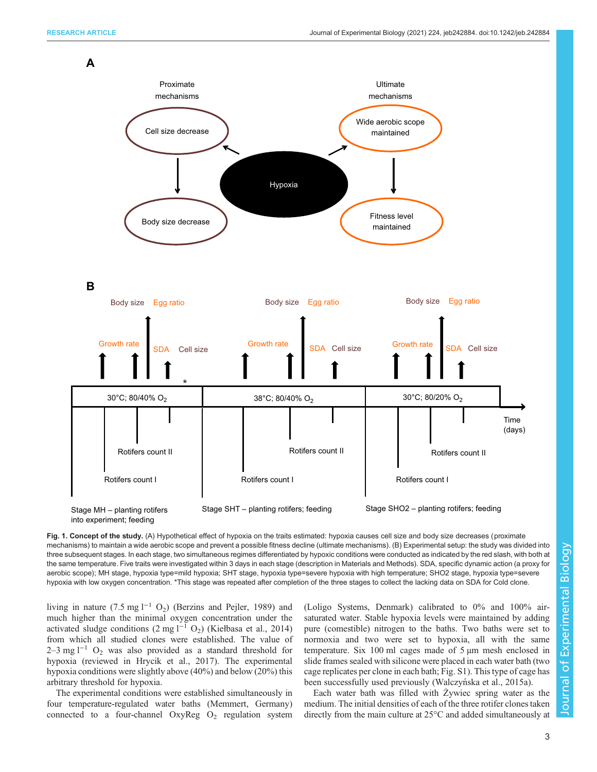**A**

<span id="page-2-0"></span>

Fig. 1. Concept of the study. (A) Hypothetical effect of hypoxia on the traits estimated: hypoxia causes cell size and body size decreases (proximate mechanisms) to maintain a wide aerobic scope and prevent a possible fitness decline (ultimate mechanisms). (B) Experimental setup: the study was divided into three subsequent stages. In each stage, two simultaneous regimes differentiated by hypoxic conditions were conducted as indicated by the red slash, with both at the same temperature. Five traits were investigated within 3 days in each stage (description in Materials and Methods). SDA, specific dynamic action (a proxy for aerobic scope); MH stage, hypoxia type=mild hypoxia; SHT stage, hypoxia type=severe hypoxia with high temperature; SHO2 stage, hypoxia type=severe hypoxia with low oxygen concentration. \*This stage was repeated after completion of the three stages to collect the lacking data on SDA for Cold clone.

living in nature (7.5 mg l<sup>-1</sup> O<sub>2</sub>) ([Berzins and Pejler, 1989\)](#page-11-0) and much higher than the minimal oxygen concentration under the activated sludge conditions (2 mg l<sup>-1</sup> O<sub>2</sub>) (Kieł[basa et al., 2014\)](#page-11-0) from which all studied clones were established. The value of  $2-3$  mg l<sup>-1</sup> O<sub>2</sub> was also provided as a standard threshold for hypoxia (reviewed in [Hrycik et al., 2017\)](#page-11-0). The experimental hypoxia conditions were slightly above (40%) and below (20%) this arbitrary threshold for hypoxia.

The experimental conditions were established simultaneously in four temperature-regulated water baths (Memmert, Germany) connected to a four-channel  $OxyReg O_2$  regulation system (Loligo Systems, Denmark) calibrated to 0% and 100% airsaturated water. Stable hypoxia levels were maintained by adding pure (comestible) nitrogen to the baths. Two baths were set to normoxia and two were set to hypoxia, all with the same temperature. Six 100 ml cages made of 5 µm mesh enclosed in slide frames sealed with silicone were placed in each water bath (two cage replicates per clone in each bath; [Fig. S1](https://journals.biologists.com/jeb/article-lookup/DOI/10.1242/jeb.242884)). This type of cage has been successfully used previously (Walczyń[ska et al., 2015a\)](#page-12-0).

Each water bath was filled with Żywiec spring water as the medium. The initial densities of each of the three rotifer clones taken directly from the main culture at 25°C and added simultaneously at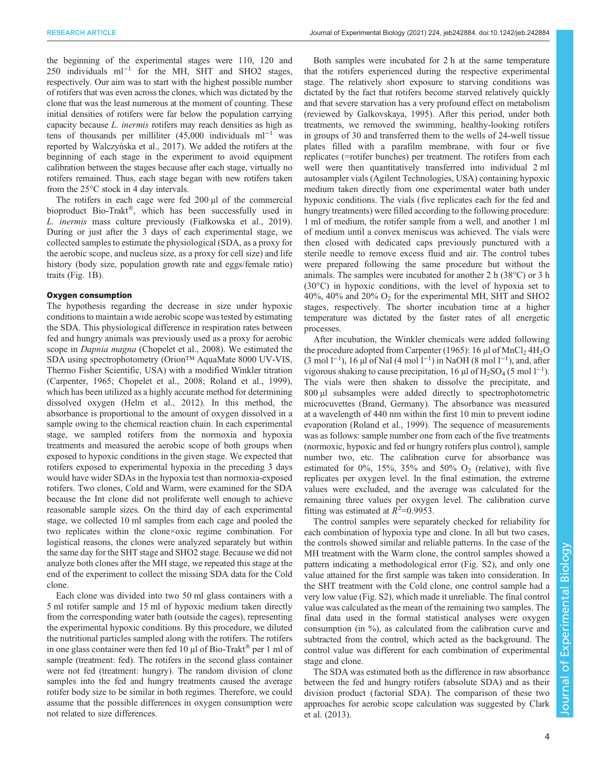the beginning of the experimental stages were 110, 120 and 250 individuals ml−<sup>1</sup> for the MH, SHT and SHO2 stages, respectively. Our aim was to start with the highest possible number of rotifers that was even across the clones, which was dictated by the clone that was the least numerous at the moment of counting. These initial densities of rotifers were far below the population carrying capacity because L. inermis rotifers may reach densities as high as tens of thousands per milliliter (45,000 individuals ml<sup>-1</sup> was reported by Walczyńska et al., 2017). We added the rotifers at the beginning of each stage in the experiment to avoid equipment calibration between the stages because after each stage, virtually no rotifers remained. Thus, each stage began with new rotifers taken from the 25°C stock in 4 day intervals.

The rotifers in each cage were fed 200 µl of the commercial bioproduct Bio-Trakt®, which has been successfully used in L. inermis mass culture previously (Fiał[kowska et al., 2019\)](#page-11-0). During or just after the 3 days of each experimental stage, we collected samples to estimate the physiological (SDA, as a proxy for the aerobic scope, and nucleus size, as a proxy for cell size) and life history (body size, population growth rate and eggs/female ratio) traits [\(Fig. 1B](#page-2-0)).

#### Oxygen consumption

The hypothesis regarding the decrease in size under hypoxic conditions to maintain a wide aerobic scope was tested by estimating the SDA. This physiological difference in respiration rates between fed and hungry animals was previously used as a proxy for aerobic scope in *Dapnia magna* ([Chopelet et al., 2008\)](#page-11-0). We estimated the SDA using spectrophotometry (Orion™ AquaMate 8000 UV-VIS, Thermo Fisher Scientific, USA) with a modified Winkler titration [\(Carpenter, 1965](#page-11-0); [Chopelet et al., 2008; Roland et al., 1999\)](#page-11-0), which has been utilized as a highly accurate method for determining dissolved oxygen [\(Helm et al., 2012](#page-11-0)). In this method, the absorbance is proportional to the amount of oxygen dissolved in a sample owing to the chemical reaction chain. In each experimental stage, we sampled rotifers from the normoxia and hypoxia treatments and measured the aerobic scope of both groups when exposed to hypoxic conditions in the given stage. We expected that rotifers exposed to experimental hypoxia in the preceding 3 days would have wider SDAs in the hypoxia test than normoxia-exposed rotifers. Two clones, Cold and Warm, were examined for the SDA because the Int clone did not proliferate well enough to achieve reasonable sample sizes. On the third day of each experimental stage, we collected 10 ml samples from each cage and pooled the two replicates within the clone×oxic regime combination. For logistical reasons, the clones were analyzed separately but within the same day for the SHT stage and SHO2 stage. Because we did not analyze both clones after the MH stage, we repeated this stage at the end of the experiment to collect the missing SDA data for the Cold clone.

Each clone was divided into two 50 ml glass containers with a 5 ml rotifer sample and 15 ml of hypoxic medium taken directly from the corresponding water bath (outside the cages), representing the experimental hypoxic conditions. By this procedure, we diluted the nutritional particles sampled along with the rotifers. The rotifers in one glass container were then fed 10  $\mu$ l of Bio-Trakt<sup>®</sup> per 1 ml of sample (treatment: fed). The rotifers in the second glass container were not fed (treatment: hungry). The random division of clone samples into the fed and hungry treatments caused the average rotifer body size to be similar in both regimes. Therefore, we could assume that the possible differences in oxygen consumption were not related to size differences.

Both samples were incubated for 2 h at the same temperature that the rotifers experienced during the respective experimental stage. The relatively short exposure to starving conditions was dictated by the fact that rotifers become starved relatively quickly and that severe starvation has a very profound effect on metabolism (reviewed by [Galkovskaya, 1995](#page-11-0)). After this period, under both treatments, we removed the swimming, healthy-looking rotifers in groups of 30 and transferred them to the wells of 24-well tissue plates filled with a parafilm membrane, with four or five replicates (=rotifer bunches) per treatment. The rotifers from each well were then quantitatively transferred into individual 2 ml autosampler vials (Agilent Technologies, USA) containing hypoxic medium taken directly from one experimental water bath under hypoxic conditions. The vials (five replicates each for the fed and hungry treatments) were filled according to the following procedure: 1 ml of medium, the rotifer sample from a well, and another 1 ml of medium until a convex meniscus was achieved. The vials were then closed with dedicated caps previously punctured with a sterile needle to remove excess fluid and air. The control tubes were prepared following the same procedure but without the animals. The samples were incubated for another 2 h (38°C) or 3 h (30°C) in hypoxic conditions, with the level of hypoxia set to 40%, 40% and 20%  $O_2$  for the experimental MH, SHT and SHO2 stages, respectively. The shorter incubation time at a higher temperature was dictated by the faster rates of all energetic processes.

After incubation, the Winkler chemicals were added following the procedure adopted from [Carpenter \(1965\):](#page-11-0) 16  $\mu$ l of MnCl<sub>2</sub> 4H<sub>2</sub>O (3 mol l−<sup>1</sup> ), 16 µl of NaI (4 mol l−<sup>1</sup> ) in NaOH (8 mol l−<sup>1</sup> ), and, after vigorous shaking to cause precipitation, 16 µl of  $H_2SO_4$  (5 mol l<sup>-1</sup>). The vials were then shaken to dissolve the precipitate, and 800 µl subsamples were added directly to spectrophotometric microcuvettes (Brand, Germany). The absorbance was measured at a wavelength of 440 nm within the first 10 min to prevent iodine evaporation [\(Roland et al., 1999\)](#page-11-0). The sequence of measurements was as follows: sample number one from each of the five treatments (normoxic, hypoxic and fed or hungry rotifers plus control), sample number two, etc. The calibration curve for absorbance was estimated for  $0\%$ ,  $15\%$ ,  $35\%$  and  $50\%$  O<sub>2</sub> (relative), with five replicates per oxygen level. In the final estimation, the extreme values were excluded, and the average was calculated for the remaining three values per oxygen level. The calibration curve fitting was estimated at  $\hat{R}^2$ =0.9953.<br>The control samples were separa-

The control samples were separately checked for reliability for each combination of hypoxia type and clone. In all but two cases, the controls showed similar and reliable patterns. In the case of the MH treatment with the Warm clone, the control samples showed a pattern indicating a methodological error [\(Fig. S2](https://journals.biologists.com/jeb/article-lookup/DOI/10.1242/jeb.242884)), and only one value attained for the first sample was taken into consideration. In the SHT treatment with the Cold clone, one control sample had a very low value ([Fig. S2\)](https://journals.biologists.com/jeb/article-lookup/DOI/10.1242/jeb.242884), which made it unreliable. The final control value was calculated as the mean of the remaining two samples. The final data used in the formal statistical analyses were oxygen consumption (in %), as calculated from the calibration curve and subtracted from the control, which acted as the background. The control value was different for each combination of experimental stage and clone.

The SDA was estimated both as the difference in raw absorbance between the fed and hungry rotifers (absolute SDA) and as their division product (factorial SDA). The comparison of these two approaches for aerobic scope calculation was suggested by [Clark](#page-11-0) [et al. \(2013\)](#page-11-0).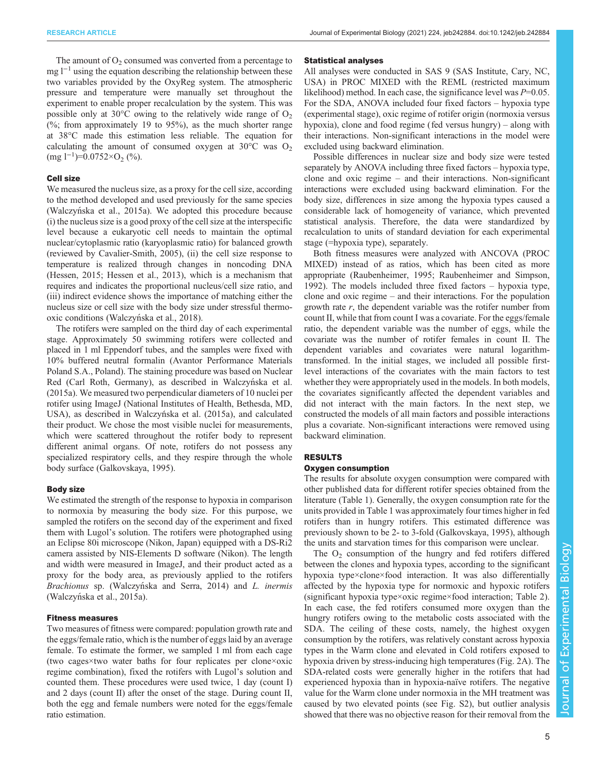The amount of  $O<sub>2</sub>$  consumed was converted from a percentage to mg  $l^{-1}$  using the equation describing the relationship between these two variables provided by the OxyReg system. The atmospheric pressure and temperature were manually set throughout the experiment to enable proper recalculation by the system. This was possible only at 30 $\degree$ C owing to the relatively wide range of  $O_2$ (%; from approximately 19 to  $95\%$ ), as the much shorter range at 38°C made this estimation less reliable. The equation for calculating the amount of consumed oxygen at  $30^{\circ}$ C was O<sub>2</sub>  $\text{(mg 1}^{-1})$ =0.0752×O<sub>2</sub> (%).

# Cell size

We measured the nucleus size, as a proxy for the cell size, according to the method developed and used previously for the same species (Walczyń[ska et al., 2015a\)](#page-12-0). We adopted this procedure because (i) the nucleus size is a good proxy of the cell size at the interspecific level because a eukaryotic cell needs to maintain the optimal nuclear/cytoplasmic ratio (karyoplasmic ratio) for balanced growth (reviewed by [Cavalier-Smith, 2005](#page-11-0)), (ii) the cell size response to temperature is realized through changes in noncoding DNA [\(Hessen, 2015](#page-11-0); [Hessen et al., 2013\)](#page-11-0), which is a mechanism that requires and indicates the proportional nucleus/cell size ratio, and (iii) indirect evidence shows the importance of matching either the nucleus size or cell size with the body size under stressful thermooxic conditions (Walczyń[ska et al., 2018\)](#page-12-0).

The rotifers were sampled on the third day of each experimental stage. Approximately 50 swimming rotifers were collected and placed in 1 ml Eppendorf tubes, and the samples were fixed with 10% buffered neutral formalin (Avantor Performance Materials Poland S.A., Poland). The staining procedure was based on Nuclear Red (Carl Roth, Germany), as described in Walczyń[ska et al.](#page-12-0) [\(2015a\)](#page-12-0). We measured two perpendicular diameters of 10 nuclei per rotifer using ImageJ (National Institutes of Health, Bethesda, MD, USA), as described in Walczyń[ska et al. \(2015a\)](#page-12-0), and calculated their product. We chose the most visible nuclei for measurements, which were scattered throughout the rotifer body to represent different animal organs. Of note, rotifers do not possess any specialized respiratory cells, and they respire through the whole body surface [\(Galkovskaya, 1995\)](#page-11-0).

#### Body size

We estimated the strength of the response to hypoxia in comparison to normoxia by measuring the body size. For this purpose, we sampled the rotifers on the second day of the experiment and fixed them with Lugol's solution. The rotifers were photographed using an Eclipse 80i microscope (Nikon, Japan) equipped with a DS-Ri2 camera assisted by NIS-Elements D software (Nikon). The length and width were measured in ImageJ, and their product acted as a proxy for the body area, as previously applied to the rotifers Brachionus sp. (Walczyń[ska and Serra, 2014\)](#page-12-0) and *L. inermis*<br>(Walczyńska et al. 2015a) (Walczyń[ska et al., 2015a](#page-12-0)).

# Fitness measures

Two measures of fitness were compared: population growth rate and the eggs/female ratio, which is the number of eggs laid by an average female. To estimate the former, we sampled 1 ml from each cage (two cages×two water baths for four replicates per clone×oxic regime combination), fixed the rotifers with Lugol's solution and counted them. These procedures were used twice, 1 day (count I) and 2 days (count II) after the onset of the stage. During count II, both the egg and female numbers were noted for the eggs/female ratio estimation.

#### Statistical analyses

All analyses were conducted in SAS 9 (SAS Institute, Cary, NC, USA) in PROC MIXED with the REML (restricted maximum likelihood) method. In each case, the significance level was  $P=0.05$ . For the SDA, ANOVA included four fixed factors – hypoxia type (experimental stage), oxic regime of rotifer origin (normoxia versus hypoxia), clone and food regime (fed versus hungry) – along with their interactions. Non-significant interactions in the model were excluded using backward elimination.

Possible differences in nuclear size and body size were tested separately by ANOVA including three fixed factors – hypoxia type, clone and oxic regime – and their interactions. Non-significant interactions were excluded using backward elimination. For the body size, differences in size among the hypoxia types caused a considerable lack of homogeneity of variance, which prevented statistical analysis. Therefore, the data were standardized by recalculation to units of standard deviation for each experimental stage (=hypoxia type), separately.

Both fitness measures were analyzed with ANCOVA (PROC MIXED) instead of as ratios, which has been cited as more appropriate [\(Raubenheimer, 1995](#page-11-0); [Raubenheimer and Simpson,](#page-11-0) [1992\)](#page-11-0). The models included three fixed factors – hypoxia type, clone and oxic regime – and their interactions. For the population growth rate  $r$ , the dependent variable was the rotifer number from count II, while that from count I was a covariate. For the eggs/female ratio, the dependent variable was the number of eggs, while the covariate was the number of rotifer females in count II. The dependent variables and covariates were natural logarithmtransformed. In the initial stages, we included all possible firstlevel interactions of the covariates with the main factors to test whether they were appropriately used in the models. In both models, the covariates significantly affected the dependent variables and did not interact with the main factors. In the next step, we constructed the models of all main factors and possible interactions plus a covariate. Non-significant interactions were removed using backward elimination.

#### RESULTS

### Oxygen consumption

The results for absolute oxygen consumption were compared with other published data for different rotifer species obtained from the literature ([Table 1\)](#page-5-0). Generally, the oxygen consumption rate for the units provided in [Table 1](#page-5-0) was approximately four times higher in fed rotifers than in hungry rotifers. This estimated difference was previously shown to be 2- to 3-fold ([Galkovskaya, 1995](#page-11-0)), although the units and starvation times for this comparison were unclear.

The  $O<sub>2</sub>$  consumption of the hungry and fed rotifers differed between the clones and hypoxia types, according to the significant hypoxia type×clone×food interaction. It was also differentially affected by the hypoxia type for normoxic and hypoxic rotifers (significant hypoxia type×oxic regime×food interaction; [Table 2\)](#page-5-0). In each case, the fed rotifers consumed more oxygen than the hungry rotifers owing to the metabolic costs associated with the SDA. The ceiling of these costs, namely, the highest oxygen consumption by the rotifers, was relatively constant across hypoxia types in the Warm clone and elevated in Cold rotifers exposed to hypoxia driven by stress-inducing high temperatures [\(Fig. 2A](#page-6-0)). The SDA-related costs were generally higher in the rotifers that had experienced hypoxia than in hypoxia-naïve rotifers. The negative value for the Warm clone under normoxia in the MH treatment was caused by two elevated points (see [Fig. S2](https://journals.biologists.com/jeb/article-lookup/DOI/10.1242/jeb.242884)), but outlier analysis showed that there was no objective reason for their removal from the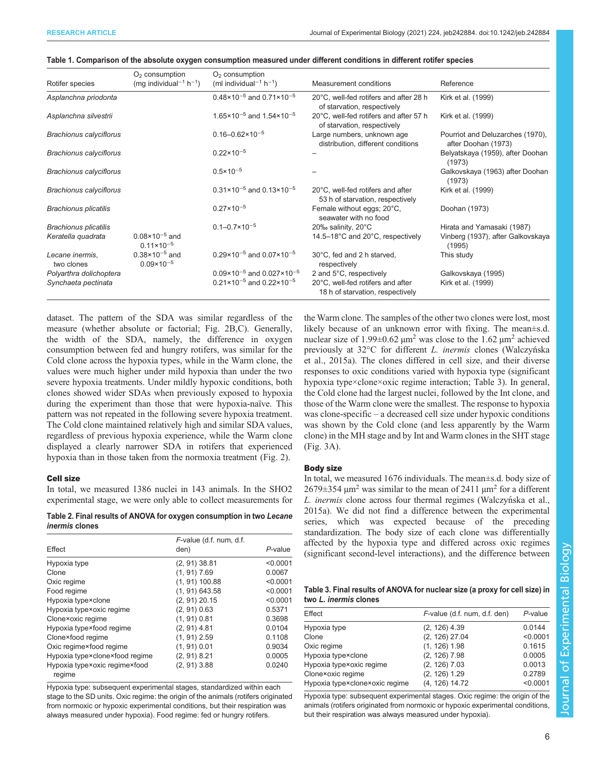|                                | $O2$ consumption                                   | $O2$ consumption                                                  |                                                                       |                                                         |
|--------------------------------|----------------------------------------------------|-------------------------------------------------------------------|-----------------------------------------------------------------------|---------------------------------------------------------|
| Rotifer species                | (mg individual <sup>-1</sup> h <sup>-1</sup> )     | (ml individual <sup>-1</sup> h <sup>-1</sup> )                    | Measurement conditions                                                | Reference                                               |
| Asplanchna priodonta           |                                                    | $0.48 \times 10^{-5}$ and $0.71 \times 10^{-5}$                   | 20°C, well-fed rotifers and after 28 h<br>of starvation, respectively | Kirk et al. (1999)                                      |
| Asplanchna silvestrii          |                                                    | 1.65 $\times$ 10 <sup>-5</sup> and 1.54 $\times$ 10 <sup>-5</sup> | 20°C, well-fed rotifers and after 57 h<br>of starvation, respectively | Kirk et al. (1999)                                      |
| <b>Brachionus calyciflorus</b> |                                                    | $0.16 - 0.62 \times 10^{-5}$                                      | Large numbers, unknown age<br>distribution, different conditions      | Pourriot and Deluzarches (1970).<br>after Doohan (1973) |
| <b>Brachionus calyciflorus</b> |                                                    | $0.22 \times 10^{-5}$                                             |                                                                       | Belyatskaya (1959), after Doohan<br>(1973)              |
| <b>Brachionus calyciflorus</b> |                                                    | $0.5 \times 10^{-5}$                                              |                                                                       | Galkovskaya (1963) after Doohan<br>(1973)               |
| <b>Brachionus calyciflorus</b> |                                                    | $0.31 \times 10^{-5}$ and $0.13 \times 10^{-5}$                   | 20°C, well-fed rotifers and after<br>53 h of starvation, respectively | Kirk et al. (1999)                                      |
| <b>Brachionus plicatilis</b>   |                                                    | $0.27 \times 10^{-5}$                                             | Female without eggs; 20°C,<br>seawater with no food                   | Doohan (1973)                                           |
| <b>Brachionus plicatilis</b>   |                                                    | $0.1 - 0.7 \times 10^{-5}$                                        | 20‰ salinity, 20°C                                                    | Hirata and Yamasaki (1987)                              |
| Keratella quadrata             | $0.08 \times 10^{-5}$ and<br>$0.11 \times 10^{-5}$ |                                                                   | 14.5-18°C and 20°C, respectively                                      | Vinberg (1937), after Galkovskaya<br>(1995)             |
| Lecane inermis.<br>two clones  | $0.38 \times 10^{-5}$ and<br>$0.09 \times 10^{-5}$ | $0.29 \times 10^{-5}$ and $0.07 \times 10^{-5}$                   | 30°C, fed and 2 h starved,<br>respectively                            | This study                                              |
| Polyarthra dolichoptera        |                                                    | $0.09 \times 10^{-5}$ and $0.027 \times 10^{-5}$                  | 2 and 5°C, respectively                                               | Galkovskaya (1995)                                      |
| Synchaeta pectinata            |                                                    | $0.21 \times 10^{-5}$ and $0.22 \times 10^{-5}$                   | 20°C, well-fed rotifers and after<br>18 h of starvation, respectively | Kirk et al. (1999)                                      |

<span id="page-5-0"></span>

|  | Table 1. Comparison of the absolute oxygen consumption measured under different conditions in different rotifer species |  |  |  |
|--|-------------------------------------------------------------------------------------------------------------------------|--|--|--|
|  |                                                                                                                         |  |  |  |
|  |                                                                                                                         |  |  |  |
|  |                                                                                                                         |  |  |  |

dataset. The pattern of the SDA was similar regardless of the measure (whether absolute or factorial; [Fig. 2](#page-6-0)B,C). Generally, the width of the SDA, namely, the difference in oxygen consumption between fed and hungry rotifers, was similar for the Cold clone across the hypoxia types, while in the Warm clone, the values were much higher under mild hypoxia than under the two severe hypoxia treatments. Under mildly hypoxic conditions, both clones showed wider SDAs when previously exposed to hypoxia during the experiment than those that were hypoxia-naïve. This pattern was not repeated in the following severe hypoxia treatment. The Cold clone maintained relatively high and similar SDA values, regardless of previous hypoxia experience, while the Warm clone displayed a clearly narrower SDA in rotifers that experienced hypoxia than in those taken from the normoxia treatment [\(Fig. 2](#page-6-0)).

## Cell size

In total, we measured 1386 nuclei in 143 animals. In the SHO2 experimental stage, we were only able to collect measurements for

Table 2. Final results of ANOVA for oxygen consumption in two Lecane inermis clones

| Effect                                  | $F$ -value (d.f. num, d.f. | P-value  |
|-----------------------------------------|----------------------------|----------|
|                                         | den)                       |          |
| Hypoxia type                            | $(2, 91)$ 38.81            | < 0.0001 |
| Clone                                   | $(1, 91)$ 7.69             | 0.0067   |
| Oxic regime                             | $(1, 91)$ 100.88           | < 0.0001 |
| Food regime                             | $(1, 91)$ 643.58           | < 0.0001 |
| Hypoxia type×clone                      | $(2, 91)$ 20.15            | < 0.0001 |
| Hypoxia type×oxic regime                | $(2, 91)$ 0.63             | 0.5371   |
| Clone×oxic regime                       | $(1, 91)$ 0.81             | 0.3698   |
| Hypoxia type×food regime                | $(2, 91)$ 4.81             | 0.0104   |
| Clone×food regime                       | $(1, 91)$ 2.59             | 0.1108   |
| Oxic regime×food regime                 | $(1, 91)$ 0.01             | 0.9034   |
| Hypoxia type×clone×food regime          | $(2, 91)$ 8.21             | 0.0005   |
| Hypoxia type×oxic regime×food<br>regime | $(2, 91)$ 3.88             | 0.0240   |

Hypoxia type: subsequent experimental stages, standardized within each stage to the SD units. Oxic regime: the origin of the animals (rotifers originated from normoxic or hypoxic experimental conditions, but their respiration was always measured under hypoxia). Food regime: fed or hungry rotifers.

the Warm clone. The samples of the other two clones were lost, most likely because of an unknown error with fixing. The mean±s.d. nuclear size of 1.99 $\pm$ 0.62  $\mu$ m<sup>2</sup> was close to the 1.62  $\mu$ m<sup>2</sup> achieved previously at 32°C for different *L. inermis* clones (Walczyńska<br>et al. 2015a). The clones differed in cell size, and their diverse [et al., 2015a\)](#page-12-0). The clones differed in cell size, and their diverse responses to oxic conditions varied with hypoxia type (significant hypoxia type×clone×oxic regime interaction; Table 3). In general, the Cold clone had the largest nuclei, followed by the Int clone, and those of the Warm clone were the smallest. The response to hypoxia was clone-specific – a decreased cell size under hypoxic conditions was shown by the Cold clone (and less apparently by the Warm clone) in the MH stage and by Int and Warm clones in the SHT stage [\(Fig. 3](#page-7-0)A).

### Body size

In total, we measured 1676 individuals. The mean±s.d. body size of  $2679 \pm 354$  µm<sup>2</sup> was similar to the mean of 2411 µm<sup>2</sup> for a different L. *inermis* clone across four thermal regimes (Walczyń[ska et al.,](#page-12-0) 2015a). We did not find a difference between the experimental [2015a](#page-12-0)). We did not find a difference between the experimental series, which was expected because of the preceding standardization. The body size of each clone was differentially affected by the hypoxia type and differed across oxic regimes (significant second-level interactions), and the difference between

| Table 3. Final results of ANOVA for nuclear size (a proxy for cell size) in |  |
|-----------------------------------------------------------------------------|--|
| two L. inermis clones                                                       |  |

| Effect                         | F-value (d.f. num, d.f. den) | P-value  |
|--------------------------------|------------------------------|----------|
| Hypoxia type                   | $(2, 126)$ 4.39              | 0.0144   |
| Clone                          | $(2, 126)$ 27.04             | < 0.0001 |
| Oxic regime                    | $(1, 126)$ 1.98              | 0.1615   |
| Hypoxia type×clone             | $(2, 126)$ 7.98              | 0.0005   |
| Hypoxia type×oxic regime       | $(2, 126)$ 7.03              | 0.0013   |
| Clone×oxic regime              | $(2, 126)$ 1.29              | 0.2789   |
| Hypoxia type×clone×oxic regime | (4, 126) 14.72               | < 0.0001 |

Hypoxia type: subsequent experimental stages. Oxic regime: the origin of the animals (rotifers originated from normoxic or hypoxic experimental conditions, but their respiration was always measured under hypoxia).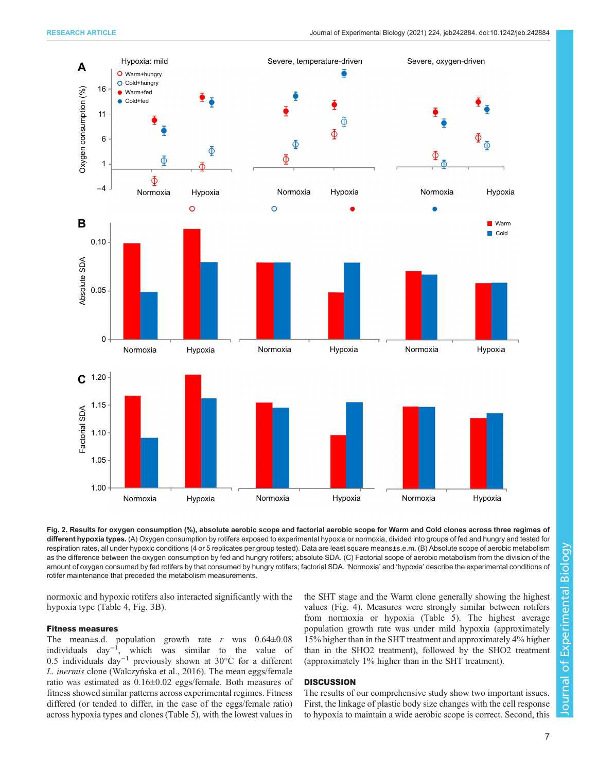<span id="page-6-0"></span>

Fig. 2. Results for oxygen consumption (%), absolute aerobic scope and factorial aerobic scope for Warm and Cold clones across three regimes of different hypoxia types. (A) Oxygen consumption by rotifers exposed to experimental hypoxia or normoxia, divided into groups of fed and hungry and tested for respiration rates, all under hypoxic conditions (4 or 5 replicates per group tested). Data are least square means±s.e.m. (B) Absolute scope of aerobic metabolism as the difference between the oxygen consumption by fed and hungry rotifers; absolute SDA. (C) Factorial scope of aerobic metabolism from the division of the amount of oxygen consumed by fed rotifers by that consumed by hungry rotifers; factorial SDA. 'Normoxia' and 'hypoxia' describe the experimental conditions of rotifer maintenance that preceded the metabolism measurements.

normoxic and hypoxic rotifers also interacted significantly with the hypoxia type ([Table 4, Fig. 3](#page-7-0)B).

# Fitness measures

The mean $\pm$ s.d. population growth rate r was  $0.64\pm0.08$ individuals day−<sup>1</sup> , which was similar to the value of 0.5 individuals day−<sup>1</sup> previously shown at 30°C for a different L. inermis clone (Walczyń[ska et al., 2016](#page-12-0)). The mean eggs/female<br>ratio was estimated as 0.16+0.02 eggs/female. Both measures of ratio was estimated as 0.16±0.02 eggs/female. Both measures of fitness showed similar patterns across experimental regimes. Fitness differed (or tended to differ, in the case of the eggs/female ratio) across hypoxia types and clones ([Table 5\)](#page-7-0), with the lowest values in

the SHT stage and the Warm clone generally showing the highest values [\(Fig. 4\)](#page-8-0). Measures were strongly similar between rotifers from normoxia or hypoxia ([Table 5\)](#page-7-0). The highest average population growth rate was under mild hypoxia (approximately 15% higher than in the SHT treatment and approximately 4% higher than in the SHO2 treatment), followed by the SHO2 treatment (approximately 1% higher than in the SHT treatment).

# **DISCUSSION**

The results of our comprehensive study show two important issues. First, the linkage of plastic body size changes with the cell response to hypoxia to maintain a wide aerobic scope is correct. Second, this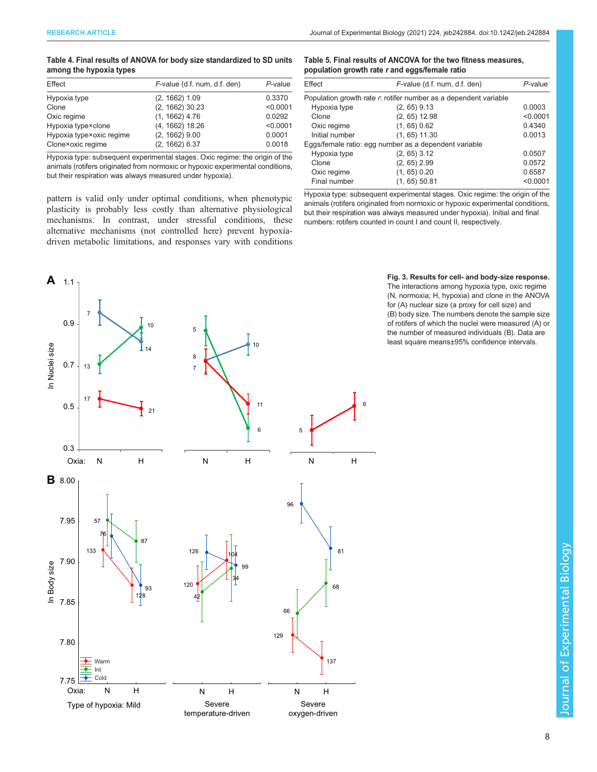## <span id="page-7-0"></span>Table 4. Final results of ANOVA for body size standardized to SD units among the hypoxia types

| Effect                   | F-value (d.f. num, d.f. den) | $P$ -value |
|--------------------------|------------------------------|------------|
| Hypoxia type             | $(2, 1662)$ 1.09             | 0.3370     |
| Clone                    | $(2, 1662)$ 30.23            | < 0.0001   |
| Oxic regime              | $(1, 1662)$ 4.76             | 0.0292     |
| Hypoxia type×clone       | $(4, 1662)$ 18.26            | < 0.0001   |
| Hypoxia type×oxic regime | $(2, 1662)$ 9.00             | 0.0001     |
| Clone×oxic regime        | $(2, 1662)$ 6.37             | 0.0018     |

Hypoxia type: subsequent experimental stages. Oxic regime: the origin of the animals (rotifers originated from normoxic or hypoxic experimental conditions, but their respiration was always measured under hypoxia).

pattern is valid only under optimal conditions, when phenotypic plasticity is probably less costly than alternative physiological mechanisms. In contrast, under stressful conditions, these alternative mechanisms (not controlled here) prevent hypoxiadriven metabolic limitations, and responses vary with conditions

# Table 5. Final results of ANCOVA for the two fitness measures, population growth rate r and eggs/female ratio

| Effect         | F-value (d.f. num, d.f. den)                                     | P-value  |
|----------------|------------------------------------------------------------------|----------|
|                | Population growth rate r: rotifer number as a dependent variable |          |
| Hypoxia type   | $(2, 65)$ 9.13                                                   | 0.0003   |
| Clone          | $(2, 65)$ 12.98                                                  | < 0.0001 |
| Oxic regime    | $(1, 65)$ 0.62                                                   | 0.4340   |
| Initial number | $(1, 65)$ 11.30                                                  | 0.0013   |
|                | Eggs/female ratio: egg number as a dependent variable            |          |
| Hypoxia type   | $(2, 65)$ 3.12                                                   | 0.0507   |
| Clone          | $(2, 65)$ 2.99                                                   | 0.0572   |
| Oxic regime    | $(1, 65)$ 0.20                                                   | 0.6587   |
| Final number   | $(1, 65)$ 50.81                                                  | < 0.0001 |
|                |                                                                  |          |

Hypoxia type: subsequent experimental stages. Oxic regime: the origin of the animals (rotifers originated from normoxic or hypoxic experimental conditions, but their respiration was always measured under hypoxia). Initial and final numbers: rotifers counted in count I and count II, respectively.



Fig. 3. Results for cell- and body-size response. The interactions among hypoxia type, oxic regime (N, normoxia; H, hypoxia) and clone in the ANOVA for (A) nuclear size (a proxy for cell size) and (B) body size. The numbers denote the sample size of rotifers of which the nuclei were measured (A) or the number of measured individuals (B). Data are least square means±95% confidence intervals.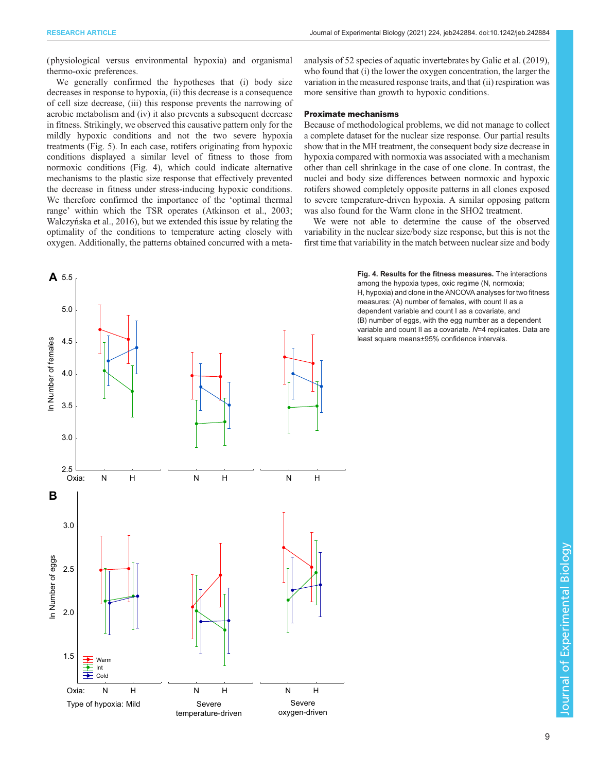<span id="page-8-0"></span>( physiological versus environmental hypoxia) and organismal thermo-oxic preferences.

We generally confirmed the hypotheses that (i) body size decreases in response to hypoxia, (ii) this decrease is a consequence of cell size decrease, (iii) this response prevents the narrowing of aerobic metabolism and (iv) it also prevents a subsequent decrease in fitness. Strikingly, we observed this causative pattern only for the mildly hypoxic conditions and not the two severe hypoxia treatments ([Fig. 5](#page-9-0)). In each case, rotifers originating from hypoxic conditions displayed a similar level of fitness to those from normoxic conditions (Fig. 4), which could indicate alternative mechanisms to the plastic size response that effectively prevented the decrease in fitness under stress-inducing hypoxic conditions. We therefore confirmed the importance of the 'optimal thermal range' within which the TSR operates ([Atkinson et al., 2003](#page-10-0); Walczyń[ska et al., 2016\)](#page-12-0), but we extended this issue by relating the optimality of the conditions to temperature acting closely with oxygen. Additionally, the patterns obtained concurred with a metaanalysis of 52 species of aquatic invertebrates by [Galic et al. \(2019\),](#page-11-0) who found that (i) the lower the oxygen concentration, the larger the variation in the measured response traits, and that (ii) respiration was more sensitive than growth to hypoxic conditions.

# Proximate mechanisms

Because of methodological problems, we did not manage to collect a complete dataset for the nuclear size response. Our partial results show that in the MH treatment, the consequent body size decrease in hypoxia compared with normoxia was associated with a mechanism other than cell shrinkage in the case of one clone. In contrast, the nuclei and body size differences between normoxic and hypoxic rotifers showed completely opposite patterns in all clones exposed to severe temperature-driven hypoxia. A similar opposing pattern was also found for the Warm clone in the SHO2 treatment.

We were not able to determine the cause of the observed variability in the nuclear size/body size response, but this is not the first time that variability in the match between nuclear size and body



Fig. 4. Results for the fitness measures. The interactions among the hypoxia types, oxic regime (N, normoxia; H, hypoxia) and clone in the ANCOVA analyses for two fitness measures: (A) number of females, with count II as a dependent variable and count I as a covariate, and (B) number of eggs, with the egg number as a dependent variable and count II as a covariate. N=4 replicates. Data are least square means±95% confidence intervals.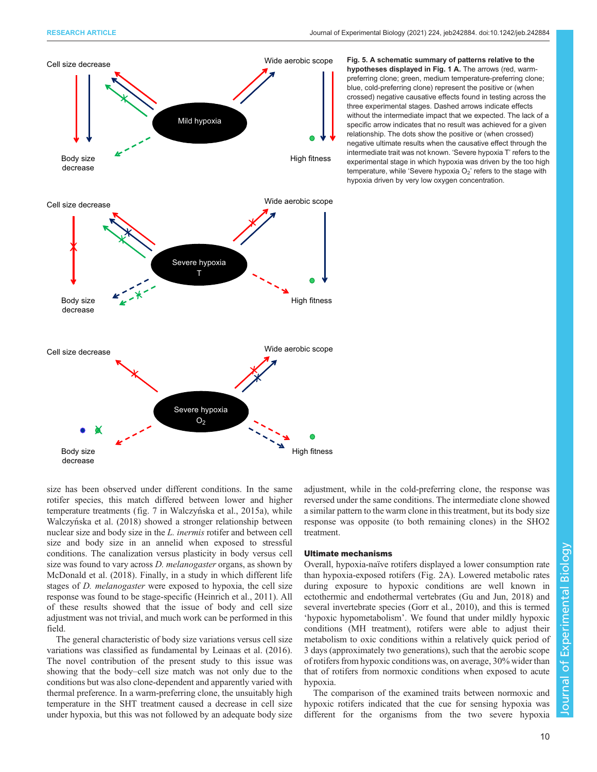<span id="page-9-0"></span>

Fig. 5. A schematic summary of patterns relative to the hypotheses displayed in [Fig. 1](#page-2-0) A. The arrows (red, warmpreferring clone; green, medium temperature-preferring clone; blue, cold-preferring clone) represent the positive or (when crossed) negative causative effects found in testing across the three experimental stages. Dashed arrows indicate effects without the intermediate impact that we expected. The lack of a specific arrow indicates that no result was achieved for a given relationship. The dots show the positive or (when crossed) negative ultimate results when the causative effect through the intermediate trait was not known. 'Severe hypoxia T' refers to the experimental stage in which hypoxia was driven by the too high temperature, while 'Severe hypoxia  $O_2$ ' refers to the stage with hypoxia driven by very low oxygen concentration.

size has been observed under different conditions. In the same rotifer species, this match differed between lower and higher temperature treatments (fig. 7 in Walczyń[ska et al., 2015a\)](#page-12-0), while Walczyń[ska et al. \(2018\)](#page-12-0) showed a stronger relationship between nuclear size and body size in the L. inermis rotifer and between cell size and body size in an annelid when exposed to stressful conditions. The canalization versus plasticity in body versus cell size was found to vary across D. melanogaster organs, as shown by [McDonald et al. \(2018\)](#page-11-0). Finally, in a study in which different life stages of D. melanogaster were exposed to hypoxia, the cell size response was found to be stage-specific ([Heinrich et al., 2011](#page-11-0)). All of these results showed that the issue of body and cell size adjustment was not trivial, and much work can be performed in this field.

The general characteristic of body size variations versus cell size variations was classified as fundamental by [Leinaas et al. \(2016\).](#page-11-0) The novel contribution of the present study to this issue was showing that the body–cell size match was not only due to the conditions but was also clone-dependent and apparently varied with thermal preference. In a warm-preferring clone, the unsuitably high temperature in the SHT treatment caused a decrease in cell size under hypoxia, but this was not followed by an adequate body size adjustment, while in the cold-preferring clone, the response was reversed under the same conditions. The intermediate clone showed a similar pattern to the warm clone in this treatment, but its body size response was opposite (to both remaining clones) in the SHO2 treatment.

#### Ultimate mechanisms

Overall, hypoxia-naïve rotifers displayed a lower consumption rate than hypoxia-exposed rotifers [\(Fig. 2A](#page-6-0)). Lowered metabolic rates during exposure to hypoxic conditions are well known in ectothermic and endothermal vertebrates [\(Gu and Jun, 2018\)](#page-11-0) and several invertebrate species [\(Gorr et al., 2010](#page-11-0)), and this is termed 'hypoxic hypometabolism'. We found that under mildly hypoxic conditions (MH treatment), rotifers were able to adjust their metabolism to oxic conditions within a relatively quick period of 3 days (approximately two generations), such that the aerobic scope of rotifers from hypoxic conditions was, on average, 30% wider than that of rotifers from normoxic conditions when exposed to acute hypoxia.

The comparison of the examined traits between normoxic and hypoxic rotifers indicated that the cue for sensing hypoxia was different for the organisms from the two severe hypoxia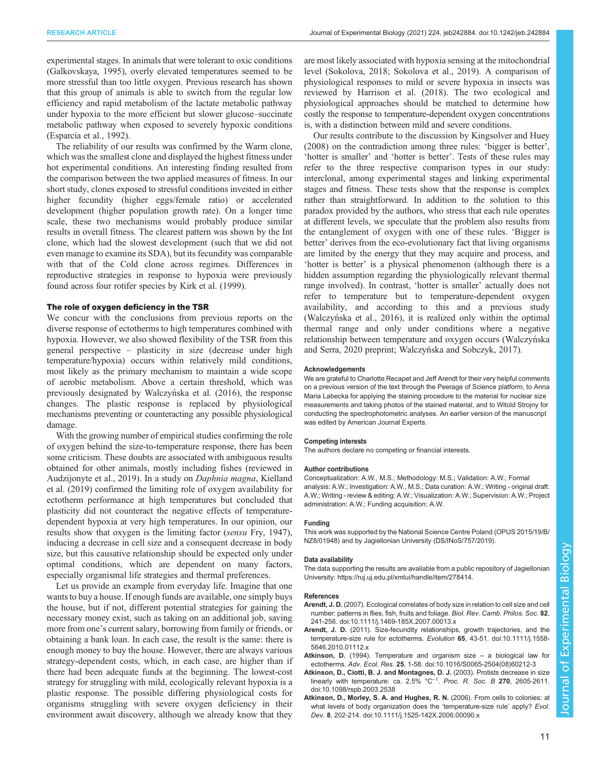<span id="page-10-0"></span>experimental stages. In animals that were tolerant to oxic conditions [\(Galkovskaya, 1995\)](#page-11-0), overly elevated temperatures seemed to be more stressful than too little oxygen. Previous research has shown that this group of animals is able to switch from the regular low efficiency and rapid metabolism of the lactate metabolic pathway under hypoxia to the more efficient but slower glucose–succinate metabolic pathway when exposed to severely hypoxic conditions [\(Esparcia et al., 1992](#page-11-0)).

The reliability of our results was confirmed by the Warm clone, which was the smallest clone and displayed the highest fitness under hot experimental conditions. An interesting finding resulted from the comparison between the two applied measures of fitness. In our short study, clones exposed to stressful conditions invested in either higher fecundity (higher eggs/female ratio) or accelerated development (higher population growth rate). On a longer time scale, these two mechanisms would probably produce similar results in overall fitness. The clearest pattern was shown by the Int clone, which had the slowest development (such that we did not even manage to examine its SDA), but its fecundity was comparable with that of the Cold clone across regimes. Differences in reproductive strategies in response to hypoxia were previously found across four rotifer species by [Kirk et al. \(1999\).](#page-11-0)

#### The role of oxygen deficiency in the TSR

We concur with the conclusions from previous reports on the diverse response of ectotherms to high temperatures combined with hypoxia. However, we also showed flexibility of the TSR from this general perspective – plasticity in size (decrease under high temperature/hypoxia) occurs within relatively mild conditions, most likely as the primary mechanism to maintain a wide scope of aerobic metabolism. Above a certain threshold, which was previously designated by Walczyń[ska et al. \(2016\),](#page-12-0) the response changes. The plastic response is replaced by physiological mechanisms preventing or counteracting any possible physiological damage.

With the growing number of empirical studies confirming the role of oxygen behind the size-to-temperature response, there has been some criticism. These doubts are associated with ambiguous results obtained for other animals, mostly including fishes (reviewed in [Audzijonyte et al., 2019](#page-11-0)). In a study on Daphnia magna, [Kielland](#page-11-0) [et al. \(2019\)](#page-11-0) confirmed the limiting role of oxygen availability for ectotherm performance at high temperatures but concluded that plasticity did not counteract the negative effects of temperaturedependent hypoxia at very high temperatures. In our opinion, our results show that oxygen is the limiting factor (sensu [Fry, 1947\)](#page-11-0), inducing a decrease in cell size and a consequent decrease in body size, but this causative relationship should be expected only under optimal conditions, which are dependent on many factors, especially organismal life strategies and thermal preferences.

Let us provide an example from everyday life. Imagine that one wants to buy a house. If enough funds are available, one simply buys the house, but if not, different potential strategies for gaining the necessary money exist, such as taking on an additional job, saving more from one's current salary, borrowing from family or friends, or obtaining a bank loan. In each case, the result is the same: there is enough money to buy the house. However, there are always various strategy-dependent costs, which, in each case, are higher than if there had been adequate funds at the beginning. The lowest-cost strategy for struggling with mild, ecologically relevant hypoxia is a plastic response. The possible differing physiological costs for organisms struggling with severe oxygen deficiency in their environment await discovery, although we already know that they

are most likely associated with hypoxia sensing at the mitochondrial level ([Sokolova, 2018; Sokolova et al., 2019](#page-11-0)). A comparison of physiological responses to mild or severe hypoxia in insects was reviewed by [Harrison et al. \(2018\).](#page-11-0) The two ecological and physiological approaches should be matched to determine how costly the response to temperature-dependent oxygen concentrations is, with a distinction between mild and severe conditions.

Our results contribute to the discussion by [Kingsolver and Huey](#page-11-0) [\(2008\)](#page-11-0) on the contradiction among three rules: 'bigger is better', 'hotter is smaller' and 'hotter is better'. Tests of these rules may refer to the three respective comparison types in our study: interclonal, among experimental stages and linking experimental stages and fitness. These tests show that the response is complex rather than straightforward. In addition to the solution to this paradox provided by the authors, who stress that each rule operates at different levels, we speculate that the problem also results from the entanglement of oxygen with one of these rules. 'Bigger is better' derives from the eco-evolutionary fact that living organisms are limited by the energy that they may acquire and process, and 'hotter is better' is a physical phenomenon (although there is a hidden assumption regarding the physiologically relevant thermal range involved). In contrast, 'hotter is smaller' actually does not refer to temperature but to temperature-dependent oxygen availability, and according to this and a previous study (Walczyń[ska et al., 2016\)](#page-12-0), it is realized only within the optimal thermal range and only under conditions where a negative relationship between temperature and oxygen occurs (Walczyńska [and Serra, 2020](#page-12-0) preprint; Walczyń[ska and Sobczyk, 2017\)](#page-12-0).

#### Acknowledgements

We are grateful to Charlotte Recapet and Jeff Arendt for their very helpful comments on a previous version of the text through the Peerage of Science platform, to Anna Maria Labecka for applying the staining procedure to the material for nuclear size measurements and taking photos of the stained material, and to Witold Strojny for conducting the spectrophotometric analyses. An earlier version of the manuscript was edited by American Journal Experts.

#### Competing interests

The authors declare no competing or financial interests.

#### Author contributions

Conceptualization: A.W., M.S.; Methodology: M.S.; Validation: A.W.; Formal analysis: A.W.; Investigation: A.W., M.S.; Data curation: A.W.; Writing - original draft: A.W.; Writing - review & editing: A.W.; Visualization: A.W.; Supervision: A.W.; Project administration: A.W.; Funding acquisition: A.W.

#### Funding

This work was supported by the National Science Centre Poland (OPUS 2015/19/B/ NZ8/01948) and by Jagiellonian University (DS/INoS/757/2019).

#### Data availability

The data supporting the results are available from a public repository of Jagiellonian University: [https://ruj.uj.edu.pl/xmlui/handle/item/278414.](https://ruj.uj.edu.pl/xmlui/handle/item/278414)

#### References

- Arendt, J. D. [\(2007\). Ecological correlates of body size in relation to cell size and cell](https://doi.org/10.1111/j.1469-185X.2007.00013.x) [number: patterns in flies, fish, fruits and foliage.](https://doi.org/10.1111/j.1469-185X.2007.00013.x) Biol. Rev. Camb. Philos. Soc. 82, [241-256. doi:10.1111/j.1469-185X.2007.00013.x](https://doi.org/10.1111/j.1469-185X.2007.00013.x)
- Arendt, J. D. [\(2011\). Size-fecundity relationships, growth trajectories, and the](https://doi.org/10.1111/j.1558-5646.2010.01112.x) [temperature-size rule for ectotherms.](https://doi.org/10.1111/j.1558-5646.2010.01112.x) Evolution 65, 43-51. doi:10.1111/j.1558- [5646.2010.01112.x](https://doi.org/10.1111/j.1558-5646.2010.01112.x)
- Atkinson, D. [\(1994\). Temperature and organism size](https://doi.org/10.1016/S0065-2504(08)60212-3) a biological law for ectotherms. Adv. Ecol. Res. 25[, 1-58. doi:10.1016/S0065-2504\(08\)60212-3](https://doi.org/10.1016/S0065-2504(08)60212-3)
- [Atkinson, D., Ciotti, B. J. and Montagnes, D. J.](https://doi.org/10.1098/rspb.2003.2538) (2003). Protists decrease in size [linearly](https://doi.org/10.1098/rspb.2003.2538) [with](https://doi.org/10.1098/rspb.2003.2538) [temperature:](https://doi.org/10.1098/rspb.2003.2538) [ca.](https://doi.org/10.1098/rspb.2003.2538)  $2.5\%$  [°C](https://doi.org/10.1098/rspb.2003.2538)<sup>-1</sup>. [Proc. R. Soc. B](https://doi.org/10.1098/rspb.2003.2538) 270, 2605-2611. [doi:10.1098/rspb.2003.2538](https://doi.org/10.1098/rspb.2003.2538)
- [Atkinson, D., Morley, S. A. and Hughes, R. N.](https://doi.org/10.1111/j.1525-142X.2006.00090.x) (2006). From cells to colonies: at [what levels of body organization does the](https://doi.org/10.1111/j.1525-142X.2006.00090.x) 'temperature-size rule' apply? Evol. Dev. 8[, 202-214. doi:10.1111/j.1525-142X.2006.00090.x](https://doi.org/10.1111/j.1525-142X.2006.00090.x)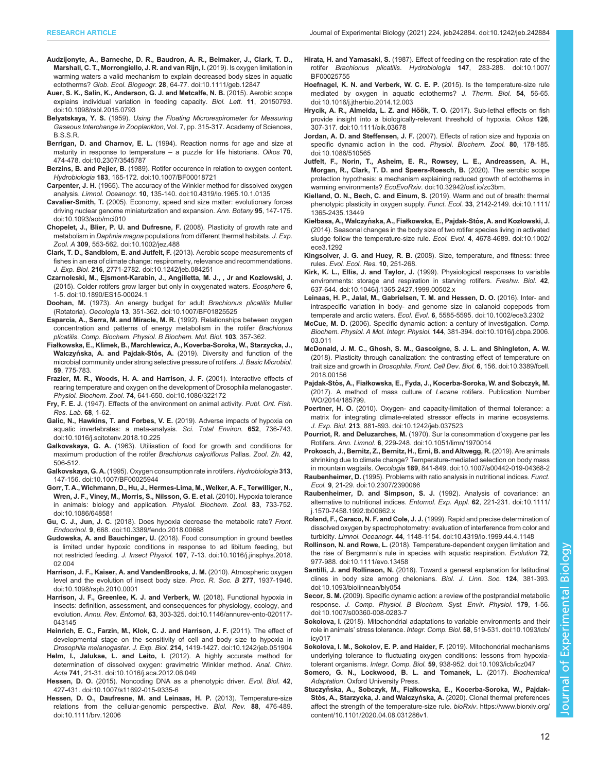- <span id="page-11-0"></span>[Audzijonyte, A., Barneche, D. R., Baudron, A. R., Belmaker, J., Clark, T. D.,](https://doi.org/10.1111/geb.12847) [Marshall, C. T., Morrongiello, J. R. and van Rijn, I.](https://doi.org/10.1111/geb.12847) (2019). Is oxygen limitation in [warming waters a valid mechanism to explain decreased body sizes in aquatic](https://doi.org/10.1111/geb.12847) ectotherms? Glob. Ecol. Biogeogr. 28[, 64-77. doi:10.1111/geb.12847](https://doi.org/10.1111/geb.12847)
- [Auer, S. K., Salin, K., Anderson, G. J. and Metcalfe, N. B.](https://doi.org/10.1098/rsbl.2015.0793) (2015). Aerobic scope [explains individual variation in feeding capacity.](https://doi.org/10.1098/rsbl.2015.0793) Biol. Lett. 11, 20150793. [doi:10.1098/rsbl.2015.0793](https://doi.org/10.1098/rsbl.2015.0793)
- Belyatskaya, Y. S. (1959). Using the Floating Microrespirometer for Measuring Gaseous Interchange in Zooplankton, Vol. 7, pp. 315-317. Academy of Sciences, B.S.S.R.
- Berrigan, D. and Charnov, E. L. [\(1994\). Reaction norms for age and size at](https://doi.org/10.2307/3545787) [maturity in response to temperature](https://doi.org/10.2307/3545787)  $-$  a puzzle for life historians. Oikos 70, [474-478. doi:10.2307/3545787](https://doi.org/10.2307/3545787)
- Berzins, B. and Pejler, B. [\(1989\). Rotifer occurence in relation to oxygen content.](https://doi.org/10.1007/BF00018721) Hydrobiologia 183[, 165-172. doi:10.1007/BF00018721](https://doi.org/10.1007/BF00018721)
- Carpenter, J. H. [\(1965\). The accuracy of the Winkler method for dissolved oxygen](https://doi.org/10.4319/lo.1965.10.1.0135) analysis. Limnol. Oceanogr. 10[, 135-140. doi:10.4319/lo.1965.10.1.0135](https://doi.org/10.4319/lo.1965.10.1.0135)
- Cavalier-Smith, T. [\(2005\). Economy, speed and size matter: evolutionary forces](https://doi.org/10.1093/aob/mci010) [driving nuclear genome miniaturization and expansion.](https://doi.org/10.1093/aob/mci010) Ann. Botany 95, 147-175. [doi:10.1093/aob/mci010](https://doi.org/10.1093/aob/mci010)
- [Chopelet, J., Blier, P. U. and Dufresne, F.](https://doi.org/10.1002/jez.488) (2008). Plasticity of growth rate and metabolism in Daphnia magna [populations from different thermal habitats.](https://doi.org/10.1002/jez.488) J. Exp. Zool. A 309[, 553-562. doi:10.1002/jez.488](https://doi.org/10.1002/jez.488)
- [Clark, T. D., Sandblom, E. and Jutfelt, F.](https://doi.org/10.1242/jeb.084251) (2013). Aerobic scope measurements of [fishes in an era of climate change: respirometry, relevance and recommendations.](https://doi.org/10.1242/jeb.084251) J. Exp. Biol. 216[, 2771-2782. doi:10.1242/jeb.084251](https://doi.org/10.1242/jeb.084251)
- [Czarnoleski, M., Ejsmont-Karabin, J., Angilletta, M. J., , Jr and Kozlowski, J.](https://doi.org/10.1890/ES15-00024.1) [\(2015\). Colder rotifers grow larger but only in oxygenated waters.](https://doi.org/10.1890/ES15-00024.1) Ecosphere 6, [1-5. doi:10.1890/ES15-00024.1](https://doi.org/10.1890/ES15-00024.1)
- Doohan, M. [\(1973\). An energy budget for adult](https://doi.org/10.1007/BF01825525) Brachionus plicatilis Muller (Rotatoria). Oecologia 13[, 351-362. doi:10.1007/BF01825525](https://doi.org/10.1007/BF01825525)
- Esparcia, A., Serra, M. and Miracle, M. R. (1992). Relationships between oxygen concentration and patterns of energy metabolism in the rotifer Brachionus plicatilis. Comp. Biochem. Physiol. B Biochem. Mol. Biol. 103, 357-362.
- Fiałkowska, E., Klimek, B., Marchlewicz, A., Koverba-Soroka, W., Starzycka, J., Walczyńska, A. and Pajdak-Stós, A. (2019). Diversity and function of the microbial community under strong selective pressure of rotifers. J. Basic Microbiol. 59, 775-783.
- [Frazier, M. R., Woods, H. A. and Harrison, J. F.](https://doi.org/10.1086/322172) (2001). Interactive effects of [rearing temperature and oxygen on the development of Drosophila melanogaster.](https://doi.org/10.1086/322172) Physiol. Biochem. Zool. 74[, 641-650. doi:10.1086/322172](https://doi.org/10.1086/322172)
- Fry, F. E. J. (1947). Effects of the environment on animal activity. Publ. Ont. Fish. Res. Lab. 68, 1-62.
- [Galic, N., Hawkins, T. and Forbes, V. E.](https://doi.org/10.1016/j.scitotenv.2018.10.225) (2019). Adverse impacts of hypoxia on [aquatic invertebrates: a meta-analysis.](https://doi.org/10.1016/j.scitotenv.2018.10.225) Sci. Total Environ. 652, 736-743. [doi:10.1016/j.scitotenv.2018.10.225](https://doi.org/10.1016/j.scitotenv.2018.10.225)
- Galkovskaya, G. A. (1963). Utilisation of food for growth and conditions for maximum production of the rotifer Brachionus calyciflorus Pallas. Zool. Zh. 42, 506-512.
- Galkovskaya, G. A. [\(1995\). Oxygen consumption rate in rotifers.](https://doi.org/10.1007/BF00025944) Hydrobiologia 313, [147-156. doi:10.1007/BF00025944](https://doi.org/10.1007/BF00025944)
- [Gorr, T. A., Wichmann, D., Hu, J., Hermes-Lima, M., Welker, A. F., Terwilliger, N.,](https://doi.org/10.1086/648581) [Wren, J. F., Viney, M., Morris, S., Nilsson, G. E. et al.](https://doi.org/10.1086/648581) (2010). Hypoxia tolerance [in animals: biology and application.](https://doi.org/10.1086/648581) Physiol. Biochem. Zool. 83, 733-752. [doi:10.1086/648581](https://doi.org/10.1086/648581)
- Gu, C. J., Jun, J. C. [\(2018\). Does hypoxia decrease the metabolic rate?](https://doi.org/10.3389/fendo.2018.00668) Front. Endocrinol. 9[, 668. doi:10.3389/fendo.2018.00668](https://doi.org/10.3389/fendo.2018.00668)
- Gudowska, A. and Bauchinger, U. [\(2018\). Food consumption in ground beetles](https://doi.org/10.1016/j.jinsphys.2018.02.004) [is limited under hypoxic conditions in response to ad libitum feeding, but](https://doi.org/10.1016/j.jinsphys.2018.02.004) not restricted feeding. J. Insect Physiol. 107[, 7-13. doi:10.1016/j.jinsphys.2018.](https://doi.org/10.1016/j.jinsphys.2018.02.004) [02.004](https://doi.org/10.1016/j.jinsphys.2018.02.004)
- [Harrison, J. F., Kaiser, A. and VandenBrooks, J. M.](https://doi.org/10.1098/rspb.2010.0001) (2010). Atmospheric oxygen [level and the evolution of insect body size.](https://doi.org/10.1098/rspb.2010.0001) Proc. R. Soc. B 277, 1937-1946. [doi:10.1098/rspb.2010.0001](https://doi.org/10.1098/rspb.2010.0001)
- [Harrison, J. F., Greenlee, K. J. and Verberk, W.](https://doi.org/10.1146/annurev-ento-020117-043145) (2018). Functional hypoxia in [insects: definition, assessment, and consequences for physiology, ecology, and](https://doi.org/10.1146/annurev-ento-020117-043145) evolution. Annu. Rev. Entomol. 63[, 303-325. doi:10.1146/annurev-ento-020117-](https://doi.org/10.1146/annurev-ento-020117-043145) [043145](https://doi.org/10.1146/annurev-ento-020117-043145)
- [Heinrich, E. C., Farzin, M., Klok, C. J. and Harrison, J. F.](https://doi.org/10.1242/jeb.051904) (2011). The effect of [developmental stage on the sensitivity of cell and body size to hypoxia in](https://doi.org/10.1242/jeb.051904) Drosophila melanogaster. J. Exp. Biol. 214[, 1419-1427. doi:10.1242/jeb.051904](https://doi.org/10.1242/jeb.051904)
- Helm, I., Jalukse, L. and Leito, I. [\(2012\). A highly accurate method for](https://doi.org/10.1016/j.aca.2012.06.049) [determination of dissolved oxygen: gravimetric Winkler method.](https://doi.org/10.1016/j.aca.2012.06.049) Anal. Chim. Acta 741[, 21-31. doi:10.1016/j.aca.2012.06.049](https://doi.org/10.1016/j.aca.2012.06.049)
- Hessen, D. O. [\(2015\). Noncoding DNA as a phenotypic driver.](https://doi.org/10.1007/s11692-015-9335-6) Evol. Biol. 42, [427-431. doi:10.1007/s11692-015-9335-6](https://doi.org/10.1007/s11692-015-9335-6)
- [Hessen, D. O., Daufresne, M. and Leinaas, H. P.](https://doi.org/10.1111/brv.12006) (2013). Temperature-size [relations from the cellular-genomic perspective.](https://doi.org/10.1111/brv.12006) Biol. Rev. 88, 476-489. [doi:10.1111/brv.12006](https://doi.org/10.1111/brv.12006)
- Hirata, H. and Yamasaki, S. [\(1987\). Effect of feeding on the respiration rate of the](https://doi.org/10.1007/BF00025755) rotifer Brachionus plicatilis. Hydrobiologia 147[, 283-288. doi:10.1007/](https://doi.org/10.1007/BF00025755) [BF00025755](https://doi.org/10.1007/BF00025755)
- [Hoefnagel, K. N. and Verberk, W. C. E. P.](https://doi.org/10.1016/j.jtherbio.2014.12.003) (2015). Is the temperature-size rule [mediated by oxygen in aquatic ectotherms?](https://doi.org/10.1016/j.jtherbio.2014.12.003) J. Therm. Biol. 54, 56-65. [doi:10.1016/j.jtherbio.2014.12.003](https://doi.org/10.1016/j.jtherbio.2014.12.003)
- Hrycik, A. R., Almeida, L. Z. and Höök, T. O. (2017). Sub-lethal effects on fish [provide insight into a biologically-relevant threshold of hypoxia.](https://doi.org/10.1111/oik.03678) Oikos 126, [307-317. doi:10.1111/oik.03678](https://doi.org/10.1111/oik.03678)
- Jordan, A. D. and Steffensen, J. F. [\(2007\). Effects of ration size and hypoxia on](https://doi.org/10.1086/510565) [specific dynamic action in the cod.](https://doi.org/10.1086/510565) Physiol. Biochem. Zool. 80, 178-185. [doi:10.1086/510565](https://doi.org/10.1086/510565)
- [Jutfelt, F., Norin, T., Asheim, E. R., Rowsey, L. E., Andreassen, A. H.,](https://doi.org/10.32942/osf.io/zc3bm) [Morgan, R., Clark, T. D. and Speers-Roesch, B.](https://doi.org/10.32942/osf.io/zc3bm) (2020). The aerobic scope [protection hypothesis: a mechanism explaining reduced growth of ectotherms in](https://doi.org/10.32942/osf.io/zc3bm) warming environments? EcoEvoRxiv[. doi:10.32942/osf.io/zc3bm.](https://doi.org/10.32942/osf.io/zc3bm)
- [Kielland, O. N., Bech, C. and Einum, S.](https://doi.org/10.1111/1365-2435.13449) (2019). Warm and out of breath: thermal [phenotypic plasticity in oxygen supply.](https://doi.org/10.1111/1365-2435.13449) Funct. Ecol. 33, 2142-2149. doi:10.1111/ [1365-2435.13449](https://doi.org/10.1111/1365-2435.13449)
- Kiełbasa, A., Walczyńska, A., Fiałkowska, E., Pajdak-Stós, A. and Kozłowski, J. [\(2014\). Seasonal changes in the body size of two rotifer species living in activated](https://doi.org/10.1002/ece3.1292) [sludge follow the temperature-size rule.](https://doi.org/10.1002/ece3.1292) Ecol. Evol. 4, 4678-4689. doi:10.1002/ [ece3.1292](https://doi.org/10.1002/ece3.1292)
- Kingsolver, J. G. and Huey, R. B. (2008). Size, temperature, and fitness: three rules. Evol. Ecol. Res. 10, 251-268.
- Kirk, K. L., Ellis, J. and Taylor, J. [\(1999\). Physiological responses to variable](https://doi.org/10.1046/j.1365-2427.1999.00502.x) [environments: storage and respiration in starving rotifers.](https://doi.org/10.1046/j.1365-2427.1999.00502.x) Freshw. Biol. 42, [637-644. doi:10.1046/j.1365-2427.1999.00502.x](https://doi.org/10.1046/j.1365-2427.1999.00502.x)
- [Leinaas, H. P., Jalal, M., Gabrielsen, T. M. and Hessen, D. O.](https://doi.org/10.1002/ece3.2302) (2016). Inter- and [intraspecific variation in body- and genome size in calanoid copepods from](https://doi.org/10.1002/ece3.2302) temperate and arctic waters. Ecol. Evol. 6[, 5585-5595. doi:10.1002/ece3.2302](https://doi.org/10.1002/ece3.2302)
- McCue, M. D. [\(2006\). Specific dynamic action: a century of investigation.](https://doi.org/10.1016/j.cbpa.2006.03.011) Comp. [Biochem. Physiol. A Mol. Integr. Physiol.](https://doi.org/10.1016/j.cbpa.2006.03.011) 144, 381-394. doi:10.1016/j.cbpa.2006. [03.011](https://doi.org/10.1016/j.cbpa.2006.03.011)
- [McDonald, J. M. C., Ghosh, S. M., Gascoigne, S. J. L. and Shingleton, A. W.](https://doi.org/10.3389/fcell.2018.00156) [\(2018\). Plasticity through canalization: the contrasting effect of temperature on](https://doi.org/10.3389/fcell.2018.00156) trait size and growth in Drosophila. Front. Cell Dev. Biol. 6[, 156. doi:10.3389/fcell.](https://doi.org/10.3389/fcell.2018.00156) [2018.00156](https://doi.org/10.3389/fcell.2018.00156)
- Pajdak-Stós, A., Fiał[kowska, E., Fyda, J., Kocerba-Soroka, W. and Sobczyk, M.](https://patentscope.wipo.int/search/en/detail.jsf?docId=WO2014185799) [\(2017\). A method of mass culture of](https://patentscope.wipo.int/search/en/detail.jsf?docId=WO2014185799) Lecane rotifers. Publication Number [WO/2014/185799.](https://patentscope.wipo.int/search/en/detail.jsf?docId=WO2014185799)
- Poertner, H. O. [\(2010\). Oxygen- and capacity-limitation of thermal tolerance: a](https://doi.org/10.1242/jeb.037523) [matrix for integrating climate-related stressor effects in marine ecosystems.](https://doi.org/10.1242/jeb.037523) J. Exp. Biol. 213[, 881-893. doi:10.1242/jeb.037523](https://doi.org/10.1242/jeb.037523)
- [Pourriot, R. and Deluzarches, M.](https://doi.org/10.1051/limn/1970014) (1970). Sur la consommation d'oxygene par les Rotifers. Ann. Limnol. 6[, 229-248. doi:10.1051/limn/1970014](https://doi.org/10.1051/limn/1970014)

[Prokosch, J., Bernitz, Z., Bernitz, H., Erni, B. and Altwegg, R.](https://doi.org/10.1007/s00442-019-04368-2) (2019). Are animals [shrinking due to climate change? Temperature-mediated selection on body mass](https://doi.org/10.1007/s00442-019-04368-2)

- in mountain wagtails. Oecologia 189[, 841-849. doi:10.1007/s00442-019-04368-2](https://doi.org/10.1007/s00442-019-04368-2) Raubenheimer, D. [\(1995\). Problems with ratio analysis in nutritional indices.](https://doi.org/10.2307/2390086) Funct. Ecol. 9[, 21-29. doi:10.2307/2390086](https://doi.org/10.2307/2390086)
- [Raubenheimer, D. and Simpson, S. J.](https://doi.org/10.1111/j.1570-7458.1992.tb00662.x) (1992). Analysis of covariance: an [alternative to nutritional indices.](https://doi.org/10.1111/j.1570-7458.1992.tb00662.x) Entomol. Exp. Appl. 62, 221-231. doi:10.1111/ [j.1570-7458.1992.tb00662.x](https://doi.org/10.1111/j.1570-7458.1992.tb00662.x)
- Roland, F., Caraco, N. F. and Cole, J. J. [\(1999\). Rapid and precise determination of](https://doi.org/10.4319/lo.1999.44.4.1148) [dissolved oxygen by spectrophotometry: evaluation of interference from color and](https://doi.org/10.4319/lo.1999.44.4.1148) turbidity. Limnol. Oceanogr. 44[, 1148-1154. doi:10.4319/lo.1999.44.4.1148](https://doi.org/10.4319/lo.1999.44.4.1148)
- Rollinson, N. and Rowe, L. [\(2018\). Temperature-dependent oxygen limitation and](https://doi.org/10.1111/evo.13458) the rise of Bergmann'[s rule in species with aquatic respiration.](https://doi.org/10.1111/evo.13458) Evolution 72, [977-988. doi:10.1111/evo.13458](https://doi.org/10.1111/evo.13458)
- Santilli, J. and Rollinson, N. [\(2018\). Toward a general explanation for latitudinal](https://doi.org/10.1093/biolinnean/bly054) [clines in body size among chelonians.](https://doi.org/10.1093/biolinnean/bly054) Biol. J. Linn. Soc. 124, 381-393. [doi:10.1093/biolinnean/bly054](https://doi.org/10.1093/biolinnean/bly054)
- Secor, S. M. [\(2009\). Specific dynamic action: a review of the postprandial metabolic](https://doi.org/10.1007/s00360-008-0283-7) response. [J. Comp. Physiol. B Biochem. Syst. Envir. Physiol.](https://doi.org/10.1007/s00360-008-0283-7) 179, 1-56. [doi:10.1007/s00360-008-0283-7](https://doi.org/10.1007/s00360-008-0283-7)
- Sokolova, I. [\(2018\). Mitochondrial adaptations to variable environments and their](https://doi.org/10.1093/icb/icy017) role in animals' stress tolerance. Integr. Comp. Biol. 58[, 519-531. doi:10.1093/icb/](https://doi.org/10.1093/icb/icy017) [icy017](https://doi.org/10.1093/icb/icy017)
- [Sokolova, I. M., Sokolov, E. P. and Haider, F.](https://doi.org/10.1093/icb/icz047) (2019). Mitochondrial mechanisms [underlying tolerance to fluctuating oxygen conditions: lessons from hypoxia](https://doi.org/10.1093/icb/icz047)tolerant organisms. Integr. Comp. Biol. 59[, 938-952. doi:10.1093/icb/icz047](https://doi.org/10.1093/icb/icz047)
- Somero, G. N., Lockwood, B. L. and Tomanek, L. (2017). Biochemical Adaptation. Oxford University Press.
- Stuczyńska, A., Sobczyk, M., Fiał[kowska, E., Kocerba-Soroka, W., Pajdak-](https://www.biorxiv.org/content/10.1101/2020.04.08.031286v1)Stós, A., Starzycka, J. and Walczyńska, A. [\(2020\). Clonal thermal preferences](https://www.biorxiv.org/content/10.1101/2020.04.08.031286v1) [affect the strength of the temperature-size rule.](https://www.biorxiv.org/content/10.1101/2020.04.08.031286v1) bioRxiv. https://www.biorxiv.org/ [content/10.1101/2020.04.08.031286v1.](https://www.biorxiv.org/content/10.1101/2020.04.08.031286v1)

Biology